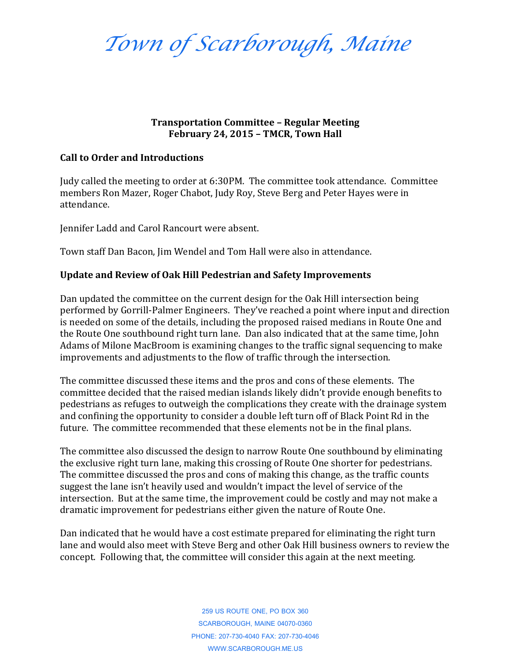*Town of Scarborough, Maine*

## **Transportation Committee – Regular Meeting February 24, 2015 – TMCR, Town Hall**

## **Call to Order and Introductions**

Judy called the meeting to order at 6:30PM. The committee took attendance. Committee members Ron Mazer, Roger Chabot, Judy Roy, Steve Berg and Peter Hayes were in attendance.

Jennifer Ladd and Carol Rancourt were absent.

Town staff Dan Bacon, Jim Wendel and Tom Hall were also in attendance.

## **Update and Review of Oak Hill Pedestrian and Safety Improvements**

Dan updated the committee on the current design for the Oak Hill intersection being performed by Gorrill-Palmer Engineers. They've reached a point where input and direction is needed on some of the details, including the proposed raised medians in Route One and the Route One southbound right turn lane. Dan also indicated that at the same time, John Adams of Milone MacBroom is examining changes to the traffic signal sequencing to make improvements and adjustments to the flow of traffic through the intersection.

The committee discussed these items and the pros and cons of these elements. The committee decided that the raised median islands likely didn't provide enough benefits to pedestrians as refuges to outweigh the complications they create with the drainage system and confining the opportunity to consider a double left turn off of Black Point Rd in the future. The committee recommended that these elements not be in the final plans.

The committee also discussed the design to narrow Route One southbound by eliminating the exclusive right turn lane, making this crossing of Route One shorter for pedestrians. The committee discussed the pros and cons of making this change, as the traffic counts suggest the lane isn't heavily used and wouldn't impact the level of service of the intersection. But at the same time, the improvement could be costly and may not make a dramatic improvement for pedestrians either given the nature of Route One.

Dan indicated that he would have a cost estimate prepared for eliminating the right turn lane and would also meet with Steve Berg and other Oak Hill business owners to review the concept. Following that, the committee will consider this again at the next meeting.

> 259 US ROUTE ONE, PO BOX 360 SCARBOROUGH, MAINE 04070-0360 PHONE: 207-730-4040 FAX: 207-730-4046 WWW.SCARBOROUGH.ME.US